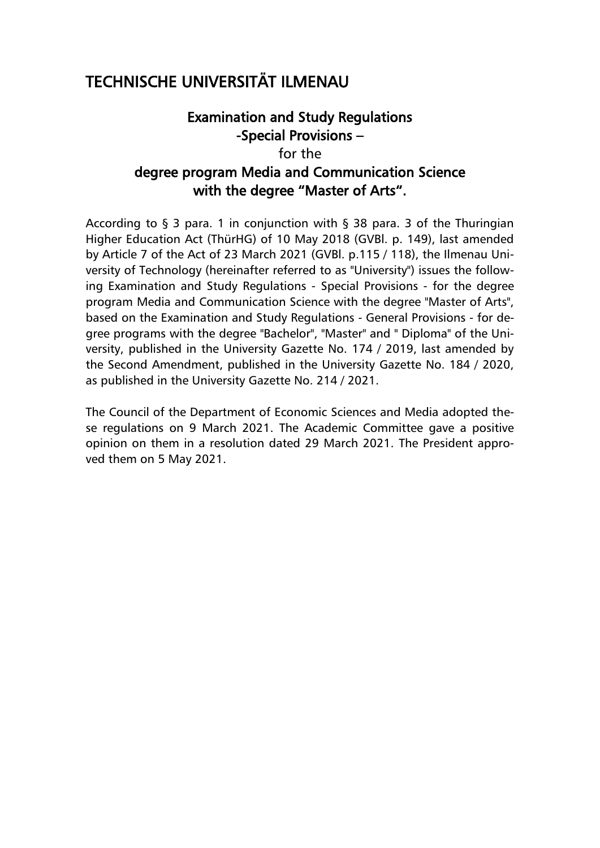# TECHNISCHE UNIVERSITÄT ILMENAU

# Examination and Study Regulations -Special Provisions – for the degree program Media and Communication Science with the degree "Master of Arts".

According to  $\S$  3 para. 1 in conjunction with  $\S$  38 para. 3 of the Thuringian Higher Education Act (ThürHG) of 10 May 2018 (GVBl. p. 149), last amended by Article 7 of the Act of 23 March 2021 (GVBl. p.115 / 118), the Ilmenau University of Technology (hereinafter referred to as "University") issues the following Examination and Study Regulations - Special Provisions - for the degree program Media and Communication Science with the degree "Master of Arts", based on the Examination and Study Regulations - General Provisions - for degree programs with the degree "Bachelor", "Master" and " Diploma" of the University, published in the University Gazette No. 174 / 2019, last amended by the Second Amendment, published in the University Gazette No. 184 / 2020, as published in the University Gazette No. 214 / 2021.

The Council of the Department of Economic Sciences and Media adopted these regulations on 9 March 2021. The Academic Committee gave a positive opinion on them in a resolution dated 29 March 2021. The President approved them on 5 May 2021.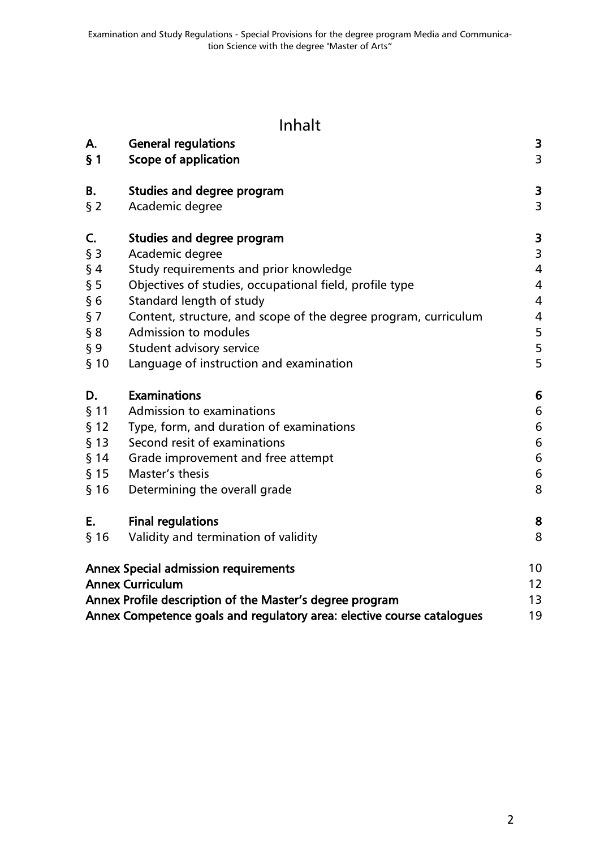# Inhalt

| А.<br>$\S$ 1 | <b>General regulations</b><br>Scope of application                     | 3<br>3           |
|--------------|------------------------------------------------------------------------|------------------|
| В.           | Studies and degree program                                             | 3                |
| $§$ 2        | Academic degree                                                        | 3                |
| C.           | Studies and degree program                                             | 3                |
| $§$ 3        | Academic degree                                                        | 3                |
| $§$ 4        | Study requirements and prior knowledge                                 | $\overline{4}$   |
| § 5          | Objectives of studies, occupational field, profile type                | 4                |
| §6           | Standard length of study                                               | $\overline{4}$   |
| § 7          | Content, structure, and scope of the degree program, curriculum        | $\overline{4}$   |
| § 8          | Admission to modules                                                   | 5                |
| $\S 9$       | Student advisory service                                               | 5                |
| § 10         | Language of instruction and examination                                | 5                |
| D.           | <b>Examinations</b>                                                    | 6                |
| $§$ 11       | Admission to examinations                                              | 6                |
| § 12         | Type, form, and duration of examinations                               | 6                |
| $§$ 13       | Second resit of examinations                                           | 6                |
| $§$ 14       | Grade improvement and free attempt                                     | 6                |
| $§$ 15       | Master's thesis                                                        | $\boldsymbol{6}$ |
| § 16         | Determining the overall grade                                          | 8                |
| Ε.           | <b>Final regulations</b>                                               | 8                |
| § 16         | Validity and termination of validity                                   | 8                |
|              | <b>Annex Special admission requirements</b>                            | 10               |
|              | <b>Annex Curriculum</b>                                                | 12               |
|              | Annex Profile description of the Master's degree program               | 13               |
|              | Annex Competence goals and regulatory area: elective course catalogues | 19               |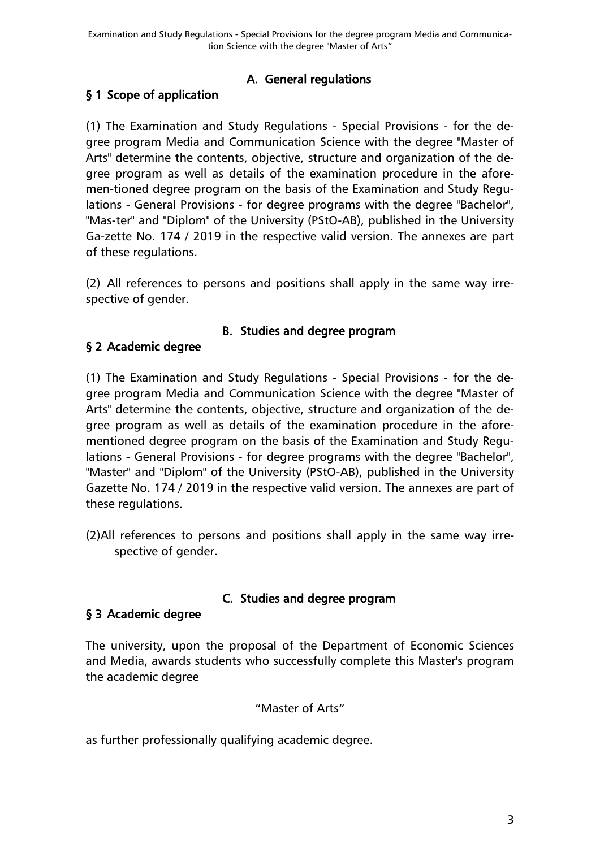## A. General regulations

## <span id="page-2-1"></span><span id="page-2-0"></span>§ 1 Scope of application

(1) The Examination and Study Regulations - Special Provisions - for the degree program Media and Communication Science with the degree "Master of Arts" determine the contents, objective, structure and organization of the degree program as well as details of the examination procedure in the aforemen-tioned degree program on the basis of the Examination and Study Regulations - General Provisions - for degree programs with the degree "Bachelor", "Mas-ter" and "Diplom" of the University (PStO-AB), published in the University Ga-zette No. 174 / 2019 in the respective valid version. The annexes are part of these regulations.

(2) All references to persons and positions shall apply in the same way irrespective of gender.

#### B. Studies and degree program

### <span id="page-2-3"></span><span id="page-2-2"></span>§ 2 Academic degree

(1) The Examination and Study Regulations - Special Provisions - for the degree program Media and Communication Science with the degree "Master of Arts" determine the contents, objective, structure and organization of the degree program as well as details of the examination procedure in the aforementioned degree program on the basis of the Examination and Study Regulations - General Provisions - for degree programs with the degree "Bachelor", "Master" and "Diplom" of the University (PStO-AB), published in the University Gazette No. 174 / 2019 in the respective valid version. The annexes are part of these regulations.

(2)All references to persons and positions shall apply in the same way irrespective of gender.

### C. Studies and degree program

#### <span id="page-2-5"></span><span id="page-2-4"></span>§ 3 Academic degree

The university, upon the proposal of the Department of Economic Sciences and Media, awards students who successfully complete this Master's program the academic degree

#### "Master of Arts"

as further professionally qualifying academic degree.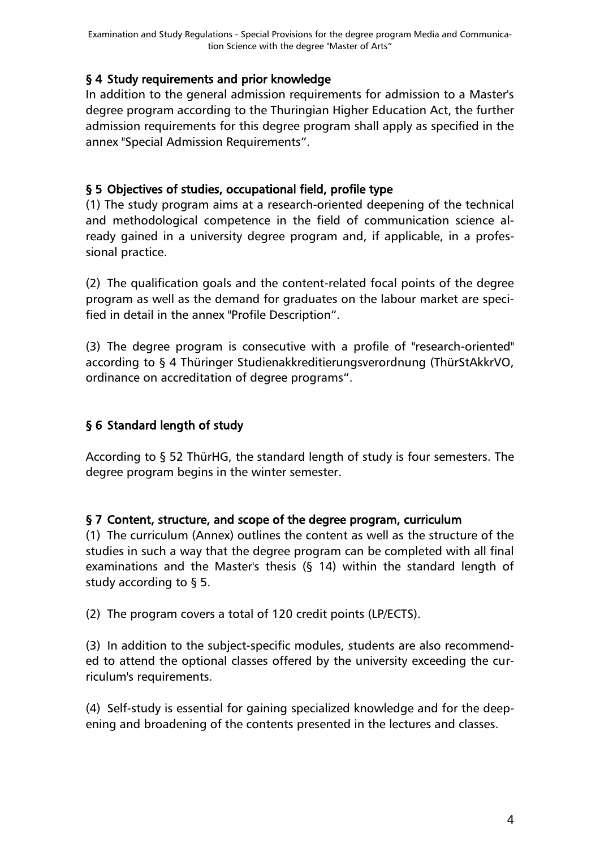### <span id="page-3-0"></span>§ 4 Study requirements and prior knowledge

In addition to the general admission requirements for admission to a Master's degree program according to the Thuringian Higher Education Act, the further admission requirements for this degree program shall apply as specified in the annex "Special Admission Requirements".

### <span id="page-3-1"></span>§ 5 Objectives of studies, occupational field, profile type

(1) The study program aims at a research-oriented deepening of the technical and methodological competence in the field of communication science already gained in a university degree program and, if applicable, in a professional practice.

(2) The qualification goals and the content-related focal points of the degree program as well as the demand for graduates on the labour market are specified in detail in the annex "Profile Description".

(3) The degree program is consecutive with a profile of "research-oriented" according to § 4 Thüringer Studienakkreditierungsverordnung (ThürStAkkrVO, ordinance on accreditation of degree programs".

## <span id="page-3-2"></span>§ 6 Standard length of study

According to § 52 ThürHG, the standard length of study is four semesters. The degree program begins in the winter semester.

### <span id="page-3-3"></span>§ 7 Content, structure, and scope of the degree program, curriculum

(1) The curriculum (Annex) outlines the content as well as the structure of the studies in such a way that the degree program can be completed with all final examinations and the Master's thesis (§ 14) within the standard length of study according to § 5.

(2) The program covers a total of 120 credit points (LP/ECTS).

(3) In addition to the subject-specific modules, students are also recommended to attend the optional classes offered by the university exceeding the curriculum's requirements.

(4) Self-study is essential for gaining specialized knowledge and for the deepening and broadening of the contents presented in the lectures and classes.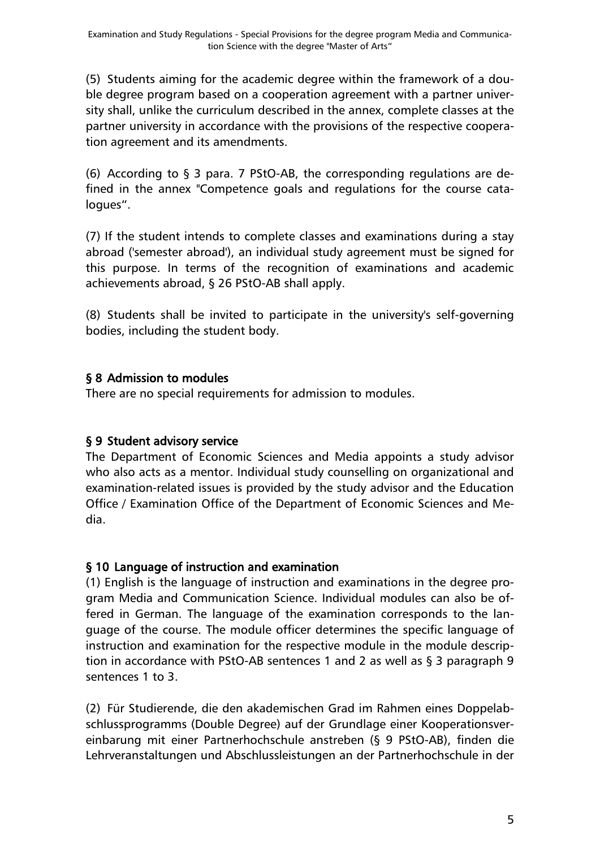(5) Students aiming for the academic degree within the framework of a double degree program based on a cooperation agreement with a partner university shall, unlike the curriculum described in the annex, complete classes at the partner university in accordance with the provisions of the respective cooperation agreement and its amendments.

(6) According to  $\S$  3 para. 7 PStO-AB, the corresponding regulations are defined in the annex "Competence goals and regulations for the course catalogues".

(7) If the student intends to complete classes and examinations during a stay abroad ('semester abroad'), an individual study agreement must be signed for this purpose. In terms of the recognition of examinations and academic achievements abroad, § 26 PStO-AB shall apply.

(8) Students shall be invited to participate in the university's self-governing bodies, including the student body.

### <span id="page-4-0"></span>§ 8 Admission to modules

There are no special requirements for admission to modules.

## <span id="page-4-1"></span>§ 9 Student advisory service

The Department of Economic Sciences and Media appoints a study advisor who also acts as a mentor. Individual study counselling on organizational and examination-related issues is provided by the study advisor and the Education Office / Examination Office of the Department of Economic Sciences and Media.

### <span id="page-4-2"></span>§ 10 Language of instruction and examination

(1) English is the language of instruction and examinations in the degree program Media and Communication Science. Individual modules can also be offered in German. The language of the examination corresponds to the language of the course. The module officer determines the specific language of instruction and examination for the respective module in the module description in accordance with PStO-AB sentences 1 and 2 as well as § 3 paragraph 9 sentences 1 to 3.

(2) Für Studierende, die den akademischen Grad im Rahmen eines Doppelabschlussprogramms (Double Degree) auf der Grundlage einer Kooperationsvereinbarung mit einer Partnerhochschule anstreben (§ 9 PStO-AB), finden die Lehrveranstaltungen und Abschlussleistungen an der Partnerhochschule in der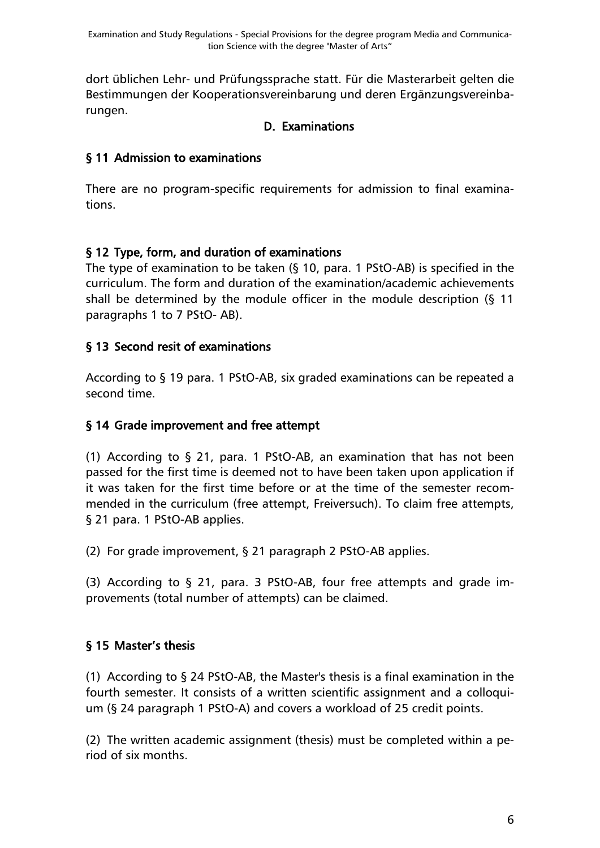dort üblichen Lehr- und Prüfungssprache statt. Für die Masterarbeit gelten die Bestimmungen der Kooperationsvereinbarung und deren Ergänzungsvereinbarungen.

### D. Examinations

### <span id="page-5-1"></span><span id="page-5-0"></span>§ 11 Admission to examinations

There are no program-specific requirements for admission to final examinations.

### <span id="page-5-2"></span>§ 12 Type, form, and duration of examinations

The type of examination to be taken (§ 10, para. 1 PStO-AB) is specified in the curriculum. The form and duration of the examination/academic achievements shall be determined by the module officer in the module description (§ 11 paragraphs 1 to 7 PStO- AB).

### <span id="page-5-3"></span>§ 13 Second resit of examinations

According to § 19 para. 1 PStO-AB, six graded examinations can be repeated a second time.

### <span id="page-5-4"></span>§ 14 Grade improvement and free attempt

(1) According to § 21, para. 1 PStO-AB, an examination that has not been passed for the first time is deemed not to have been taken upon application if it was taken for the first time before or at the time of the semester recommended in the curriculum (free attempt, Freiversuch). To claim free attempts, § 21 para. 1 PStO-AB applies.

(2) For grade improvement, § 21 paragraph 2 PStO-AB applies.

(3) According to § 21, para. 3 PStO-AB, four free attempts and grade improvements (total number of attempts) can be claimed.

### <span id="page-5-5"></span>§ 15 Master's thesis

(1) According to § 24 PStO-AB, the Master's thesis is a final examination in the fourth semester. It consists of a written scientific assignment and a colloquium (§ 24 paragraph 1 PStO-A) and covers a workload of 25 credit points.

(2) The written academic assignment (thesis) must be completed within a period of six months.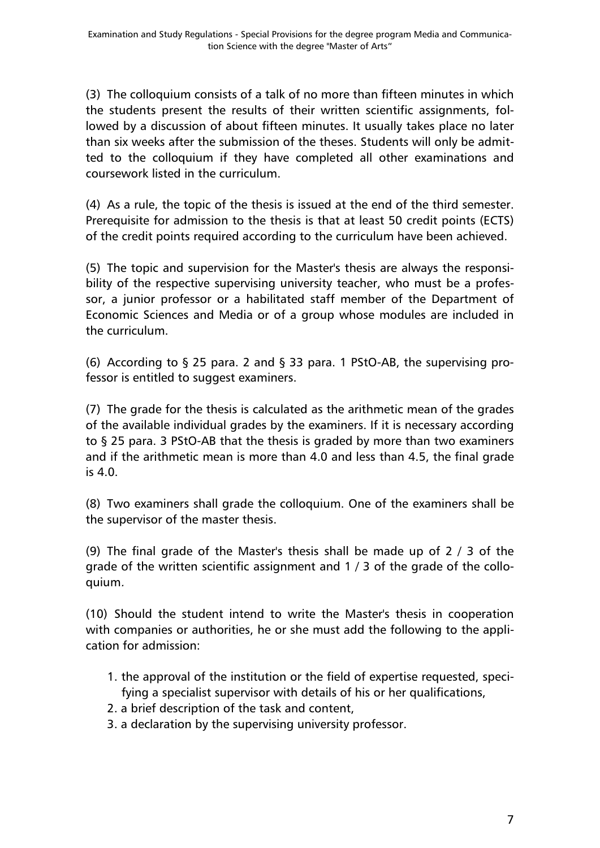(3) The colloquium consists of a talk of no more than fifteen minutes in which the students present the results of their written scientific assignments, followed by a discussion of about fifteen minutes. It usually takes place no later than six weeks after the submission of the theses. Students will only be admitted to the colloquium if they have completed all other examinations and coursework listed in the curriculum.

(4) As a rule, the topic of the thesis is issued at the end of the third semester. Prerequisite for admission to the thesis is that at least 50 credit points (ECTS) of the credit points required according to the curriculum have been achieved.

(5) The topic and supervision for the Master's thesis are always the responsibility of the respective supervising university teacher, who must be a professor, a junior professor or a habilitated staff member of the Department of Economic Sciences and Media or of a group whose modules are included in the curriculum.

(6) According to  $\S$  25 para. 2 and  $\S$  33 para. 1 PStO-AB, the supervising professor is entitled to suggest examiners.

(7) The grade for the thesis is calculated as the arithmetic mean of the grades of the available individual grades by the examiners. If it is necessary according to § 25 para. 3 PStO-AB that the thesis is graded by more than two examiners and if the arithmetic mean is more than 4.0 and less than 4.5, the final grade is 4.0.

(8) Two examiners shall grade the colloquium. One of the examiners shall be the supervisor of the master thesis.

(9) The final grade of the Master's thesis shall be made up of  $2/3$  of the grade of the written scientific assignment and 1 / 3 of the grade of the colloquium.

(10) Should the student intend to write the Master's thesis in cooperation with companies or authorities, he or she must add the following to the application for admission:

- 1. the approval of the institution or the field of expertise requested, specifying a specialist supervisor with details of his or her qualifications,
- 2. a brief description of the task and content,
- 3. a declaration by the supervising university professor.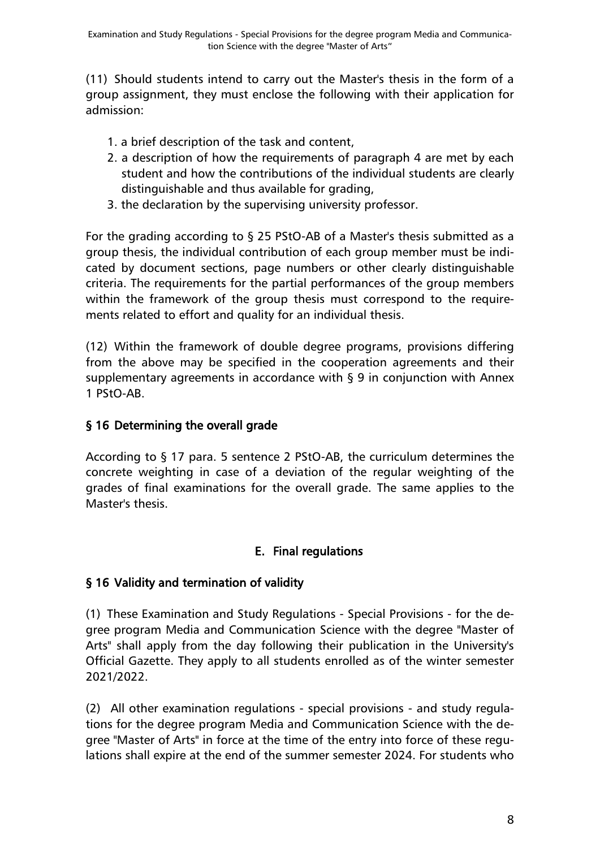(11) Should students intend to carry out the Master's thesis in the form of a group assignment, they must enclose the following with their application for admission:

- 1. a brief description of the task and content,
- 2. a description of how the requirements of paragraph 4 are met by each student and how the contributions of the individual students are clearly distinguishable and thus available for grading,
- 3. the declaration by the supervising university professor.

For the grading according to § 25 PStO-AB of a Master's thesis submitted as a group thesis, the individual contribution of each group member must be indicated by document sections, page numbers or other clearly distinguishable criteria. The requirements for the partial performances of the group members within the framework of the group thesis must correspond to the requirements related to effort and quality for an individual thesis.

(12) Within the framework of double degree programs, provisions differing from the above may be specified in the cooperation agreements and their supplementary agreements in accordance with § 9 in conjunction with Annex 1 PStO-AB.

## <span id="page-7-0"></span>§ 16 Determining the overall grade

According to § 17 para. 5 sentence 2 PStO-AB, the curriculum determines the concrete weighting in case of a deviation of the regular weighting of the grades of final examinations for the overall grade. The same applies to the Master's thesis.

## E. Final regulations

## <span id="page-7-2"></span><span id="page-7-1"></span>§ 16 Validity and termination of validity

(1) These Examination and Study Regulations - Special Provisions - for the degree program Media and Communication Science with the degree "Master of Arts" shall apply from the day following their publication in the University's Official Gazette. They apply to all students enrolled as of the winter semester 2021/2022.

(2) All other examination regulations - special provisions - and study regulations for the degree program Media and Communication Science with the degree "Master of Arts" in force at the time of the entry into force of these regulations shall expire at the end of the summer semester 2024. For students who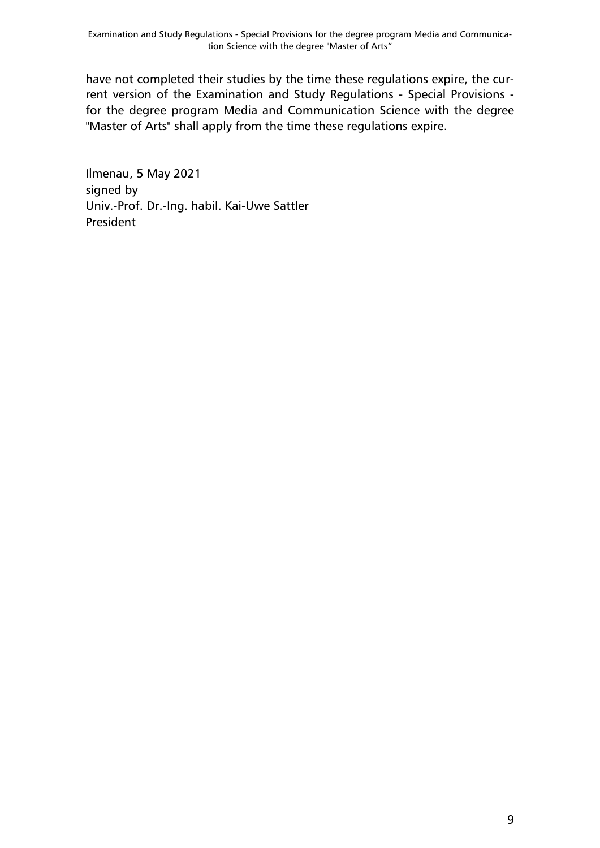have not completed their studies by the time these regulations expire, the current version of the Examination and Study Regulations - Special Provisions for the degree program Media and Communication Science with the degree "Master of Arts" shall apply from the time these regulations expire.

Ilmenau, 5 May 2021 signed by Univ.-Prof. Dr.-Ing. habil. Kai-Uwe Sattler President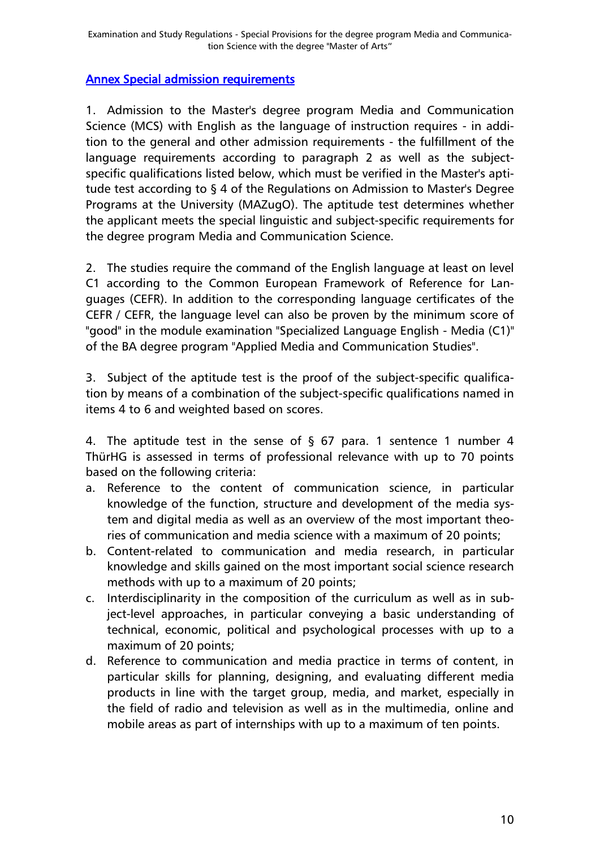#### <span id="page-9-0"></span>Annex Special admission requirements

1. Admission to the Master's degree program Media and Communication Science (MCS) with English as the language of instruction requires - in addition to the general and other admission requirements - the fulfillment of the language requirements according to paragraph 2 as well as the subjectspecific qualifications listed below, which must be verified in the Master's aptitude test according to § 4 of the Regulations on Admission to Master's Degree Programs at the University (MAZugO). The aptitude test determines whether the applicant meets the special linguistic and subject-specific requirements for the degree program Media and Communication Science.

2. The studies require the command of the English language at least on level C1 according to the Common European Framework of Reference for Languages (CEFR). In addition to the corresponding language certificates of the CEFR / CEFR, the language level can also be proven by the minimum score of "good" in the module examination "Specialized Language English - Media (C1)" of the BA degree program "Applied Media and Communication Studies".

3. Subject of the aptitude test is the proof of the subject-specific qualification by means of a combination of the subject-specific qualifications named in items 4 to 6 and weighted based on scores.

4. The aptitude test in the sense of  $\S$  67 para. 1 sentence 1 number 4 ThürHG is assessed in terms of professional relevance with up to 70 points based on the following criteria:

- a. Reference to the content of communication science, in particular knowledge of the function, structure and development of the media system and digital media as well as an overview of the most important theories of communication and media science with a maximum of 20 points;
- b. Content-related to communication and media research, in particular knowledge and skills gained on the most important social science research methods with up to a maximum of 20 points;
- c. Interdisciplinarity in the composition of the curriculum as well as in subject-level approaches, in particular conveying a basic understanding of technical, economic, political and psychological processes with up to a maximum of 20 points;
- d. Reference to communication and media practice in terms of content, in particular skills for planning, designing, and evaluating different media products in line with the target group, media, and market, especially in the field of radio and television as well as in the multimedia, online and mobile areas as part of internships with up to a maximum of ten points.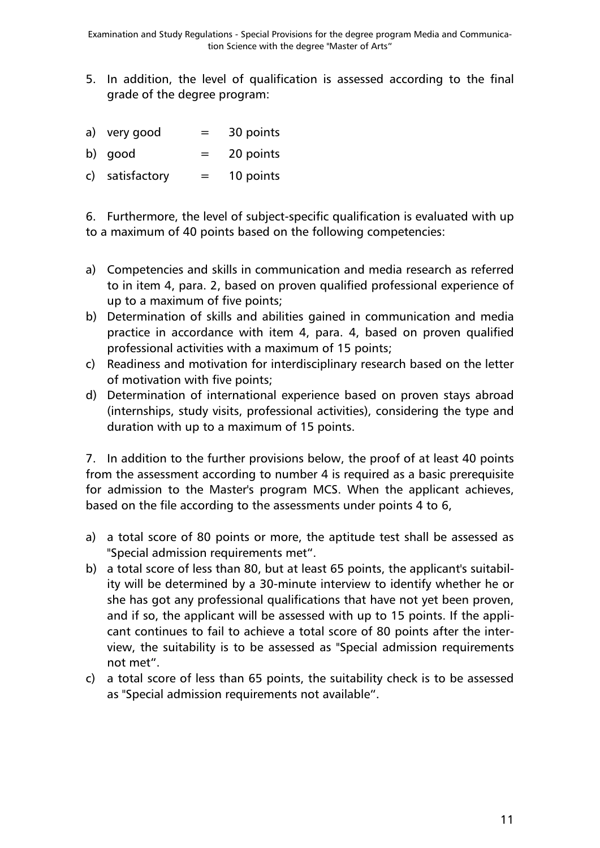- 5. In addition, the level of qualification is assessed according to the final grade of the degree program:
- a) very good  $=$  30 points
- b) good  $=$  20 points
- c) satisfactory  $=$  10 points

6. Furthermore, the level of subject-specific qualification is evaluated with up to a maximum of 40 points based on the following competencies:

- a) Competencies and skills in communication and media research as referred to in item 4, para. 2, based on proven qualified professional experience of up to a maximum of five points;
- b) Determination of skills and abilities gained in communication and media practice in accordance with item 4, para. 4, based on proven qualified professional activities with a maximum of 15 points;
- c) Readiness and motivation for interdisciplinary research based on the letter of motivation with five points;
- d) Determination of international experience based on proven stays abroad (internships, study visits, professional activities), considering the type and duration with up to a maximum of 15 points.

7. In addition to the further provisions below, the proof of at least 40 points from the assessment according to number 4 is required as a basic prerequisite for admission to the Master's program MCS. When the applicant achieves, based on the file according to the assessments under points 4 to 6,

- a) a total score of 80 points or more, the aptitude test shall be assessed as "Special admission requirements met".
- b) a total score of less than 80, but at least 65 points, the applicant's suitability will be determined by a 30-minute interview to identify whether he or she has got any professional qualifications that have not yet been proven, and if so, the applicant will be assessed with up to 15 points. If the applicant continues to fail to achieve a total score of 80 points after the interview, the suitability is to be assessed as "Special admission requirements not met".
- c) a total score of less than 65 points, the suitability check is to be assessed as "Special admission requirements not available".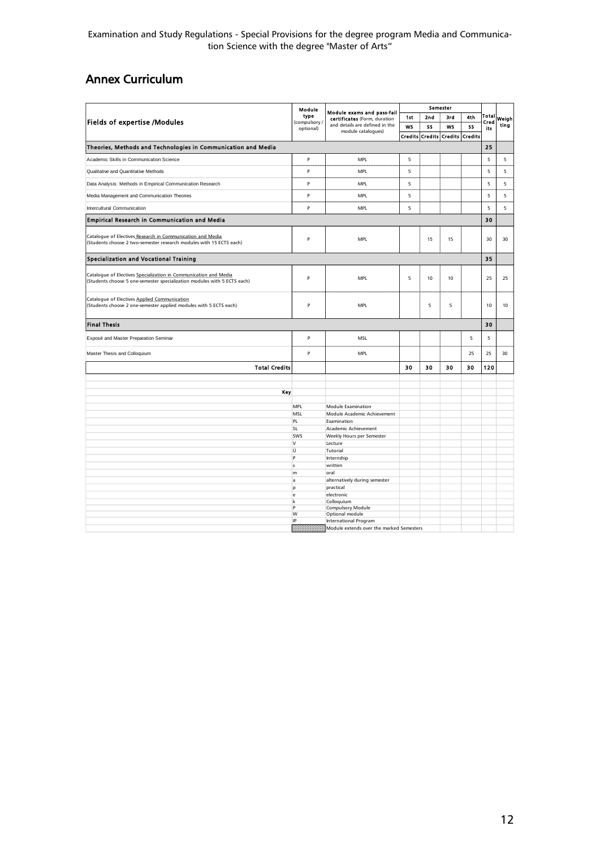Examination and Study Regulations - Special Provisions for the degree program Media and Communication Science with the degree "Master of Arts"

# <span id="page-11-0"></span>Annex Curriculum

| <b>Fields of expertise /Modules</b>                                                                                                          |                   | Module exams and pass-fail<br>certificates (Form, duration<br>and details are defined in the<br>module catalogues) | Semester |                |                |                |             |       |
|----------------------------------------------------------------------------------------------------------------------------------------------|-------------------|--------------------------------------------------------------------------------------------------------------------|----------|----------------|----------------|----------------|-------------|-------|
|                                                                                                                                              |                   |                                                                                                                    | 1st      | 2nd            | 3rd            | 4th            | Total       | Weigh |
|                                                                                                                                              |                   |                                                                                                                    | WS       | SS             | WS             | SS             | Cred<br>its | ting  |
|                                                                                                                                              |                   |                                                                                                                    | Credits  | <b>Credits</b> | <b>Credits</b> | <b>Credits</b> |             |       |
| Theories, Methods and Technologies in Communication and Media                                                                                |                   |                                                                                                                    |          |                |                |                | 25          |       |
| Academic Skills in Communication Science                                                                                                     | P                 | <b>MPL</b>                                                                                                         | 5        |                |                |                | 5           | 5     |
| Qualitative and Quantitative Methods                                                                                                         |                   | MPL                                                                                                                | 5        |                |                |                | 5           | 5     |
|                                                                                                                                              |                   | MPL                                                                                                                | 5        |                |                |                | 5           | 5     |
| Data Analysis: Methods in Empirical Communication Research                                                                                   |                   |                                                                                                                    |          |                |                |                |             |       |
| Media Management and Communication Theories                                                                                                  | P                 | MPL                                                                                                                | 5        |                |                |                | 5           | 5     |
| Intercultural Communication                                                                                                                  | P                 | MPL                                                                                                                | 5        |                |                |                | 5           | 5     |
| <b>Empirical Research in Communication and Media</b>                                                                                         |                   |                                                                                                                    |          |                |                |                | 30          |       |
| Catalogue of Electives Research in Communication and Media<br>(Students choose 2 two-semester research modules with 15 ECTS each)            | P                 | <b>MPL</b>                                                                                                         |          | 15             | 15             |                | 30          | 30    |
| <b>Specialization and Vocational Training</b>                                                                                                |                   |                                                                                                                    |          |                |                |                | 35          |       |
| Catalogue of Electives Specialization in Communication and Media<br>(Students choose 5 one-semester specialization modules with 5 ECTS each) | P                 | MPL                                                                                                                | 5        | 10             | 10             |                | 25          | 25    |
| Catalogue of Electives Applied Communication<br>(Students choose 2 one-semester applied modules with 5 ECTS each)                            | P                 | <b>MPL</b>                                                                                                         |          | 5              | 5              |                | 10          | 10    |
| <b>Final Thesis</b>                                                                                                                          |                   |                                                                                                                    |          |                |                |                | 30          |       |
| Exposé and Master Preparation Seminar                                                                                                        | P                 | MSL                                                                                                                |          |                |                | 5              | 5           |       |
| Master Thesis and Colloquium                                                                                                                 | P                 | MPL                                                                                                                |          |                |                | 25             | 25          | 30    |
| <b>Total Credits</b>                                                                                                                         |                   |                                                                                                                    | 30       | 30             | 30             | 30             | 120         |       |
|                                                                                                                                              |                   |                                                                                                                    |          |                |                |                |             |       |
| Key                                                                                                                                          |                   |                                                                                                                    |          |                |                |                |             |       |
|                                                                                                                                              |                   |                                                                                                                    |          |                |                |                |             |       |
|                                                                                                                                              | <b>MPL</b><br>MSL | <b>Module Examination</b><br>Module Academic Achievement                                                           |          |                |                |                |             |       |
|                                                                                                                                              | PL                | Examination                                                                                                        |          |                |                |                |             |       |
|                                                                                                                                              | <b>SL</b>         | Academic Achievement                                                                                               |          |                |                |                |             |       |
|                                                                                                                                              | SWS               | Weekly Hours per Semester                                                                                          |          |                |                |                |             |       |
|                                                                                                                                              | v                 | Lecture                                                                                                            |          |                |                |                |             |       |
|                                                                                                                                              | Ü                 | Tutorial                                                                                                           |          |                |                |                |             |       |
|                                                                                                                                              | P                 | Internship                                                                                                         |          |                |                |                |             |       |
|                                                                                                                                              | s                 | written                                                                                                            |          |                |                |                |             |       |
|                                                                                                                                              | m<br>la.          | oral                                                                                                               |          |                |                |                |             |       |
|                                                                                                                                              | p                 | alternatively during semester<br>practical                                                                         |          |                |                |                |             |       |
|                                                                                                                                              | e                 | electronic                                                                                                         |          |                |                |                |             |       |
|                                                                                                                                              | k                 | Colloquium                                                                                                         |          |                |                |                |             |       |
|                                                                                                                                              | <b>P</b>          | Compulsory Module                                                                                                  |          |                |                |                |             |       |
|                                                                                                                                              | W                 | Optional module                                                                                                    |          |                |                |                |             |       |
|                                                                                                                                              | IP                | <b>International Program</b>                                                                                       |          |                |                |                |             |       |
|                                                                                                                                              |                   | Module extends over the marked Semesters                                                                           |          |                |                |                |             |       |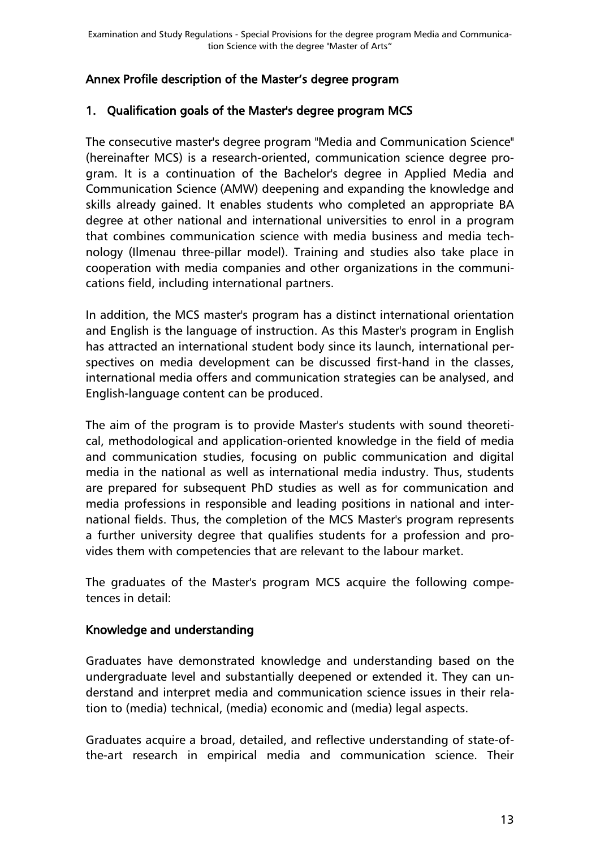### <span id="page-12-0"></span>Annex Profile description of the Master's degree program

#### 1. Qualification goals of the Master's degree program MCS

The consecutive master's degree program "Media and Communication Science" (hereinafter MCS) is a research-oriented, communication science degree program. It is a continuation of the Bachelor's degree in Applied Media and Communication Science (AMW) deepening and expanding the knowledge and skills already gained. It enables students who completed an appropriate BA degree at other national and international universities to enrol in a program that combines communication science with media business and media technology (Ilmenau three-pillar model). Training and studies also take place in cooperation with media companies and other organizations in the communications field, including international partners.

In addition, the MCS master's program has a distinct international orientation and English is the language of instruction. As this Master's program in English has attracted an international student body since its launch, international perspectives on media development can be discussed first-hand in the classes, international media offers and communication strategies can be analysed, and English-language content can be produced.

The aim of the program is to provide Master's students with sound theoretical, methodological and application-oriented knowledge in the field of media and communication studies, focusing on public communication and digital media in the national as well as international media industry. Thus, students are prepared for subsequent PhD studies as well as for communication and media professions in responsible and leading positions in national and international fields. Thus, the completion of the MCS Master's program represents a further university degree that qualifies students for a profession and provides them with competencies that are relevant to the labour market.

The graduates of the Master's program MCS acquire the following competences in detail:

#### Knowledge and understanding

Graduates have demonstrated knowledge and understanding based on the undergraduate level and substantially deepened or extended it. They can understand and interpret media and communication science issues in their relation to (media) technical, (media) economic and (media) legal aspects.

Graduates acquire a broad, detailed, and reflective understanding of state-ofthe-art research in empirical media and communication science. Their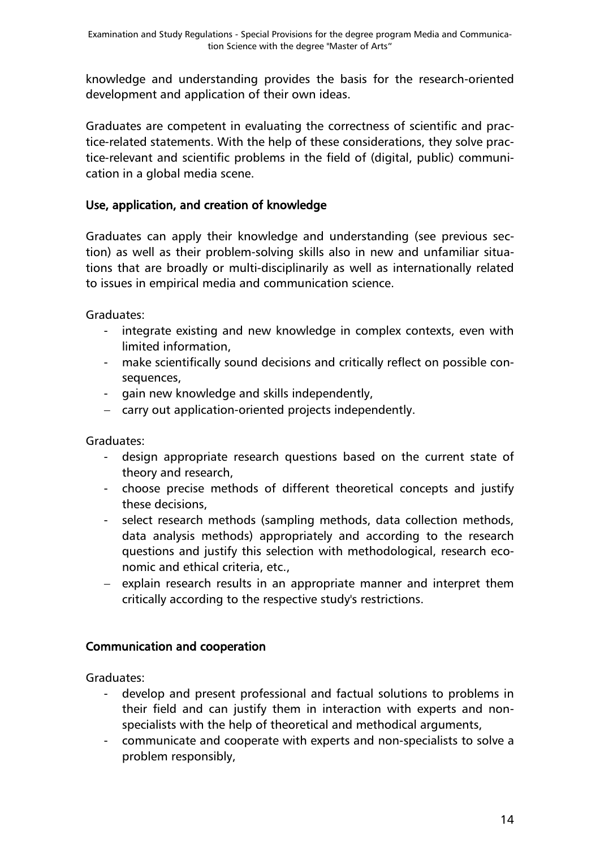knowledge and understanding provides the basis for the research-oriented development and application of their own ideas.

Graduates are competent in evaluating the correctness of scientific and practice-related statements. With the help of these considerations, they solve practice-relevant and scientific problems in the field of (digital, public) communication in a global media scene.

### Use, application, and creation of knowledge

Graduates can apply their knowledge and understanding (see previous section) as well as their problem-solving skills also in new and unfamiliar situations that are broadly or multi-disciplinarily as well as internationally related to issues in empirical media and communication science.

Graduates:

- integrate existing and new knowledge in complex contexts, even with limited information,
- make scientifically sound decisions and critically reflect on possible consequences,
- gain new knowledge and skills independently,
- carry out application-oriented projects independently.

Graduates:

- design appropriate research questions based on the current state of theory and research,
- choose precise methods of different theoretical concepts and justify these decisions,
- select research methods (sampling methods, data collection methods, data analysis methods) appropriately and according to the research questions and justify this selection with methodological, research economic and ethical criteria, etc.,
- explain research results in an appropriate manner and interpret them critically according to the respective study's restrictions.

### Communication and cooperation

Graduates:

- develop and present professional and factual solutions to problems in their field and can justify them in interaction with experts and nonspecialists with the help of theoretical and methodical arguments,
- communicate and cooperate with experts and non-specialists to solve a problem responsibly,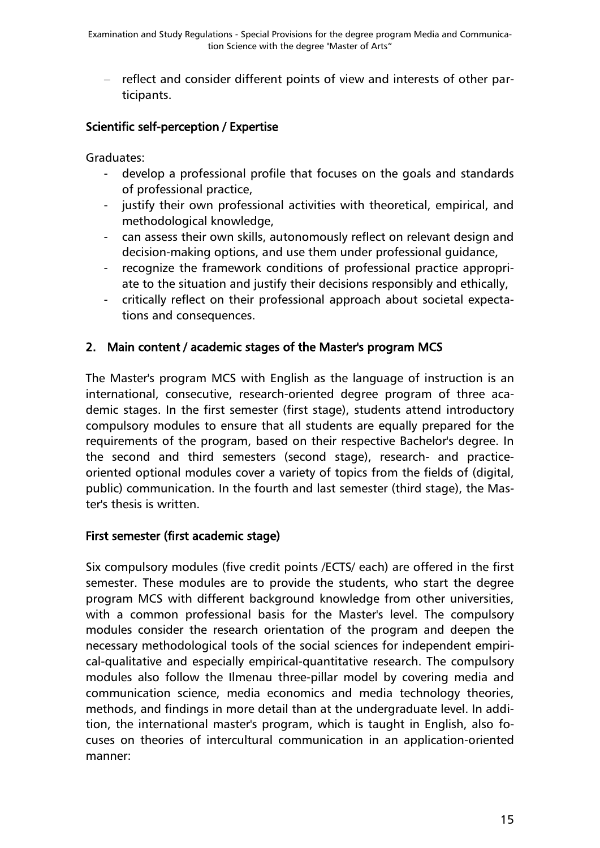- reflect and consider different points of view and interests of other participants.

### Scientific self-perception / Expertise

Graduates:

- develop a professional profile that focuses on the goals and standards of professional practice,
- justify their own professional activities with theoretical, empirical, and methodological knowledge,
- can assess their own skills, autonomously reflect on relevant design and decision-making options, and use them under professional guidance,
- recognize the framework conditions of professional practice appropriate to the situation and justify their decisions responsibly and ethically,
- critically reflect on their professional approach about societal expectations and consequences.

### 2. Main content / academic stages of the Master's program MCS

The Master's program MCS with English as the language of instruction is an international, consecutive, research-oriented degree program of three academic stages. In the first semester (first stage), students attend introductory compulsory modules to ensure that all students are equally prepared for the requirements of the program, based on their respective Bachelor's degree. In the second and third semesters (second stage), research- and practiceoriented optional modules cover a variety of topics from the fields of (digital, public) communication. In the fourth and last semester (third stage), the Master's thesis is written.

#### First semester (first academic stage)

Six compulsory modules (five credit points /ECTS/ each) are offered in the first semester. These modules are to provide the students, who start the degree program MCS with different background knowledge from other universities, with a common professional basis for the Master's level. The compulsory modules consider the research orientation of the program and deepen the necessary methodological tools of the social sciences for independent empirical-qualitative and especially empirical-quantitative research. The compulsory modules also follow the Ilmenau three-pillar model by covering media and communication science, media economics and media technology theories, methods, and findings in more detail than at the undergraduate level. In addition, the international master's program, which is taught in English, also focuses on theories of intercultural communication in an application-oriented manner: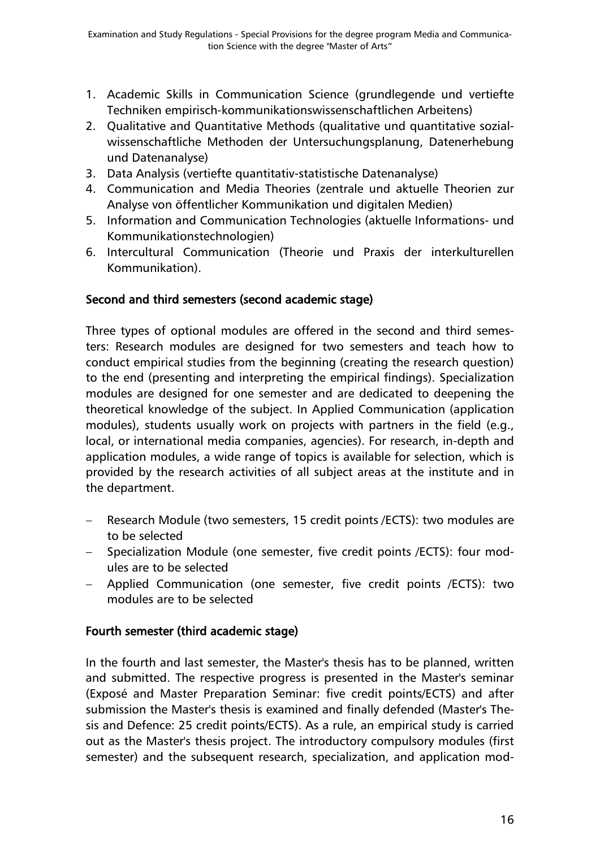- 1. Academic Skills in Communication Science (grundlegende und vertiefte Techniken empirisch-kommunikationswissenschaftlichen Arbeitens)
- 2. Qualitative and Quantitative Methods (qualitative und quantitative sozialwissenschaftliche Methoden der Untersuchungsplanung, Datenerhebung und Datenanalyse)
- 3. Data Analysis (vertiefte quantitativ-statistische Datenanalyse)
- 4. Communication and Media Theories (zentrale und aktuelle Theorien zur Analyse von öffentlicher Kommunikation und digitalen Medien)
- 5. Information and Communication Technologies (aktuelle Informations- und Kommunikationstechnologien)
- 6. Intercultural Communication (Theorie und Praxis der interkulturellen Kommunikation).

### Second and third semesters (second academic stage)

Three types of optional modules are offered in the second and third semesters: Research modules are designed for two semesters and teach how to conduct empirical studies from the beginning (creating the research question) to the end (presenting and interpreting the empirical findings). Specialization modules are designed for one semester and are dedicated to deepening the theoretical knowledge of the subject. In Applied Communication (application modules), students usually work on projects with partners in the field (e.g., local, or international media companies, agencies). For research, in-depth and application modules, a wide range of topics is available for selection, which is provided by the research activities of all subject areas at the institute and in the department.

- Research Module (two semesters, 15 credit points /ECTS): two modules are to be selected
- Specialization Module (one semester, five credit points /ECTS): four modules are to be selected
- Applied Communication (one semester, five credit points /ECTS): two modules are to be selected

### Fourth semester (third academic stage)

In the fourth and last semester, the Master's thesis has to be planned, written and submitted. The respective progress is presented in the Master's seminar (Exposé and Master Preparation Seminar: five credit points/ECTS) and after submission the Master's thesis is examined and finally defended (Master's Thesis and Defence: 25 credit points/ECTS). As a rule, an empirical study is carried out as the Master's thesis project. The introductory compulsory modules (first semester) and the subsequent research, specialization, and application mod-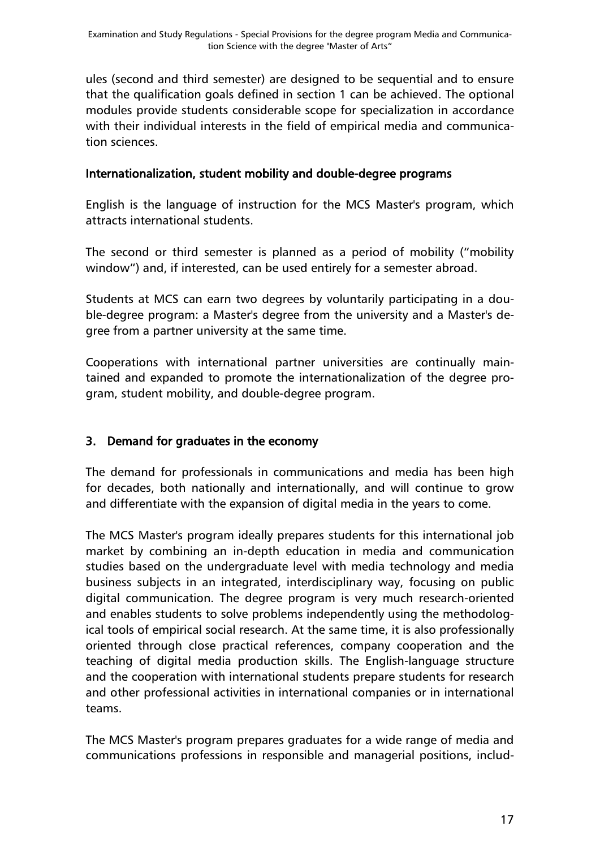ules (second and third semester) are designed to be sequential and to ensure that the qualification goals defined in section 1 can be achieved. The optional modules provide students considerable scope for specialization in accordance with their individual interests in the field of empirical media and communication sciences.

#### Internationalization, student mobility and double-degree programs

English is the language of instruction for the MCS Master's program, which attracts international students.

The second or third semester is planned as a period of mobility ("mobility window") and, if interested, can be used entirely for a semester abroad.

Students at MCS can earn two degrees by voluntarily participating in a double-degree program: a Master's degree from the university and a Master's degree from a partner university at the same time.

Cooperations with international partner universities are continually maintained and expanded to promote the internationalization of the degree program, student mobility, and double-degree program.

### 3. Demand for graduates in the economy

The demand for professionals in communications and media has been high for decades, both nationally and internationally, and will continue to grow and differentiate with the expansion of digital media in the years to come.

The MCS Master's program ideally prepares students for this international job market by combining an in-depth education in media and communication studies based on the undergraduate level with media technology and media business subjects in an integrated, interdisciplinary way, focusing on public digital communication. The degree program is very much research-oriented and enables students to solve problems independently using the methodological tools of empirical social research. At the same time, it is also professionally oriented through close practical references, company cooperation and the teaching of digital media production skills. The English-language structure and the cooperation with international students prepare students for research and other professional activities in international companies or in international teams.

The MCS Master's program prepares graduates for a wide range of media and communications professions in responsible and managerial positions, includ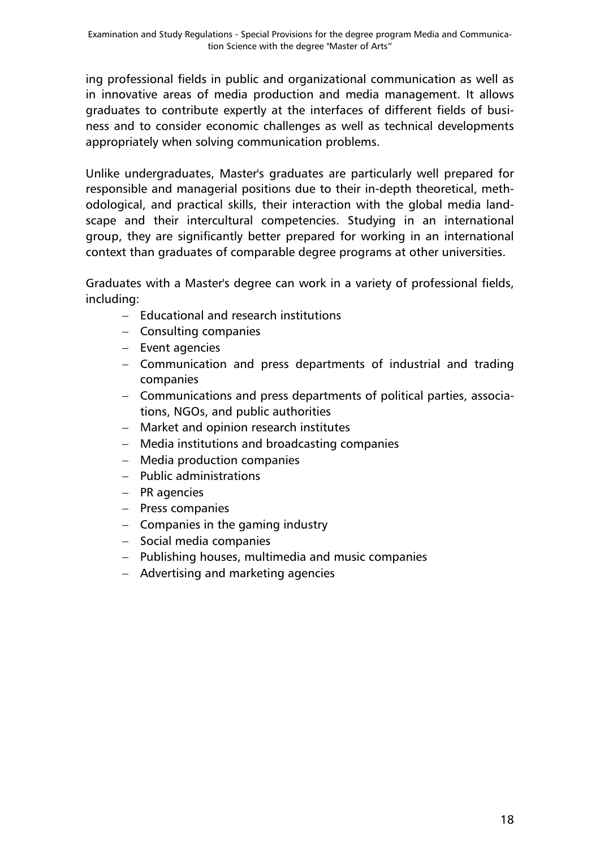ing professional fields in public and organizational communication as well as in innovative areas of media production and media management. It allows graduates to contribute expertly at the interfaces of different fields of business and to consider economic challenges as well as technical developments appropriately when solving communication problems.

Unlike undergraduates, Master's graduates are particularly well prepared for responsible and managerial positions due to their in-depth theoretical, methodological, and practical skills, their interaction with the global media landscape and their intercultural competencies. Studying in an international group, they are significantly better prepared for working in an international context than graduates of comparable degree programs at other universities.

Graduates with a Master's degree can work in a variety of professional fields, including:

- Educational and research institutions
- Consulting companies
- $-$  Event agencies
- Communication and press departments of industrial and trading companies
- Communications and press departments of political parties, associations, NGOs, and public authorities
- Market and opinion research institutes
- Media institutions and broadcasting companies
- Media production companies
- $-$  Public administrations
- $-$  PR agencies
- Press companies
- $-$  Companies in the gaming industry
- Social media companies
- Publishing houses, multimedia and music companies
- Advertising and marketing agencies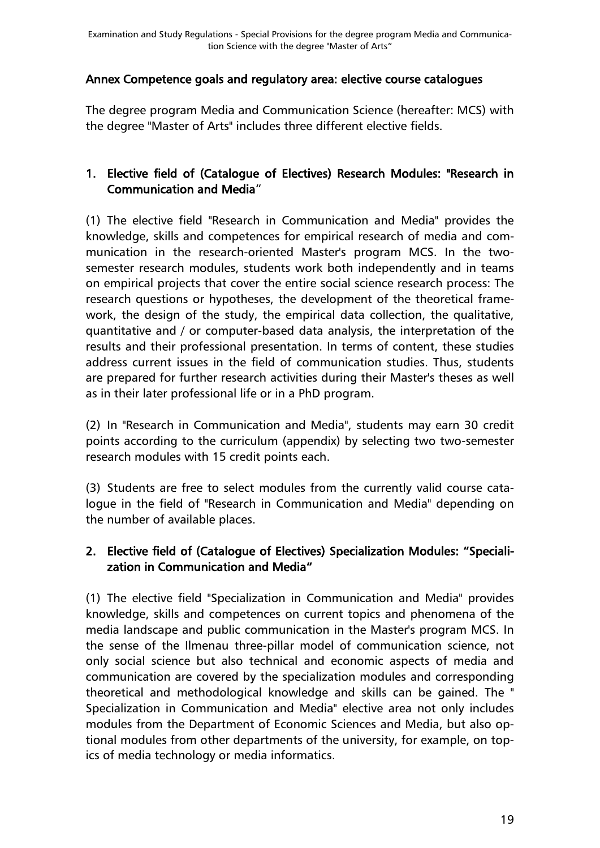#### <span id="page-18-0"></span>Annex Competence goals and regulatory area: elective course catalogues

The degree program Media and Communication Science (hereafter: MCS) with the degree "Master of Arts" includes three different elective fields.

#### 1. Elective field of (Catalogue of Electives) Research Modules: "Research in Communication and Media"

(1) The elective field "Research in Communication and Media" provides the knowledge, skills and competences for empirical research of media and communication in the research-oriented Master's program MCS. In the twosemester research modules, students work both independently and in teams on empirical projects that cover the entire social science research process: The research questions or hypotheses, the development of the theoretical framework, the design of the study, the empirical data collection, the qualitative, quantitative and / or computer-based data analysis, the interpretation of the results and their professional presentation. In terms of content, these studies address current issues in the field of communication studies. Thus, students are prepared for further research activities during their Master's theses as well as in their later professional life or in a PhD program.

(2) In "Research in Communication and Media", students may earn 30 credit points according to the curriculum (appendix) by selecting two two-semester research modules with 15 credit points each.

(3) Students are free to select modules from the currently valid course catalogue in the field of "Research in Communication and Media" depending on the number of available places.

### 2. Elective field of (Catalogue of Electives) Specialization Modules: "Specialization in Communication and Media"

(1) The elective field "Specialization in Communication and Media" provides knowledge, skills and competences on current topics and phenomena of the media landscape and public communication in the Master's program MCS. In the sense of the Ilmenau three-pillar model of communication science, not only social science but also technical and economic aspects of media and communication are covered by the specialization modules and corresponding theoretical and methodological knowledge and skills can be gained. The " Specialization in Communication and Media" elective area not only includes modules from the Department of Economic Sciences and Media, but also optional modules from other departments of the university, for example, on topics of media technology or media informatics.